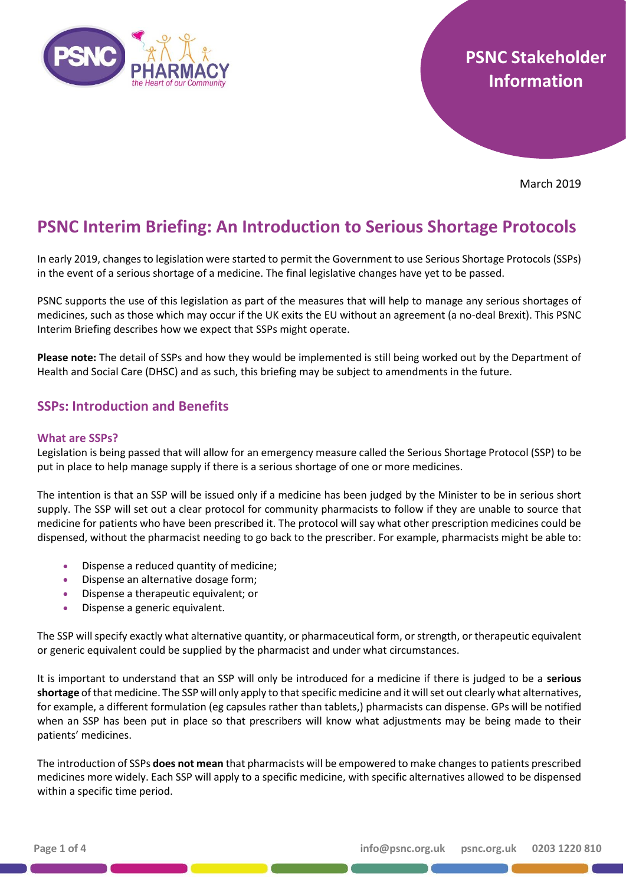

# **PSNC Stakeholder Information**

March 2019

# **PSNC Interim Briefing: An Introduction to Serious Shortage Protocols**

In early 2019, changes to legislation were started to permit the Government to use Serious Shortage Protocols (SSPs) in the event of a serious shortage of a medicine. The final legislative changes have yet to be passed.

PSNC supports the use of this legislation as part of the measures that will help to manage any serious shortages of medicines, such as those which may occur if the UK exits the EU without an agreement (a no-deal Brexit). This PSNC Interim Briefing describes how we expect that SSPs might operate.

**Please note:** The detail of SSPs and how they would be implemented is still being worked out by the Department of Health and Social Care (DHSC) and as such, this briefing may be subject to amendments in the future.

# **SSPs: Introduction and Benefits**

## **What are SSPs?**

Legislation is being passed that will allow for an emergency measure called the Serious Shortage Protocol (SSP) to be put in place to help manage supply if there is a serious shortage of one or more medicines.

The intention is that an SSP will be issued only if a medicine has been judged by the Minister to be in serious short supply. The SSP will set out a clear protocol for community pharmacists to follow if they are unable to source that medicine for patients who have been prescribed it. The protocol will say what other prescription medicines could be dispensed, without the pharmacist needing to go back to the prescriber. For example, pharmacists might be able to:

- Dispense a reduced quantity of medicine;
- Dispense an alternative dosage form;
- Dispense a therapeutic equivalent; or
- Dispense a generic equivalent.

The SSP will specify exactly what alternative quantity, or pharmaceutical form, or strength, or therapeutic equivalent or generic equivalent could be supplied by the pharmacist and under what circumstances.

It is important to understand that an SSP will only be introduced for a medicine if there is judged to be a **serious**  shortage of that medicine. The SSP will only apply to that specific medicine and it will set out clearly what alternatives, for example, a different formulation (eg capsules rather than tablets,) pharmacists can dispense. GPs will be notified when an SSP has been put in place so that prescribers will know what adjustments may be being made to their patients' medicines.

The introduction of SSPs **does not mean** that pharmacists will be empowered to make changes to patients prescribed medicines more widely. Each SSP will apply to a specific medicine, with specific alternatives allowed to be dispensed within a specific time period.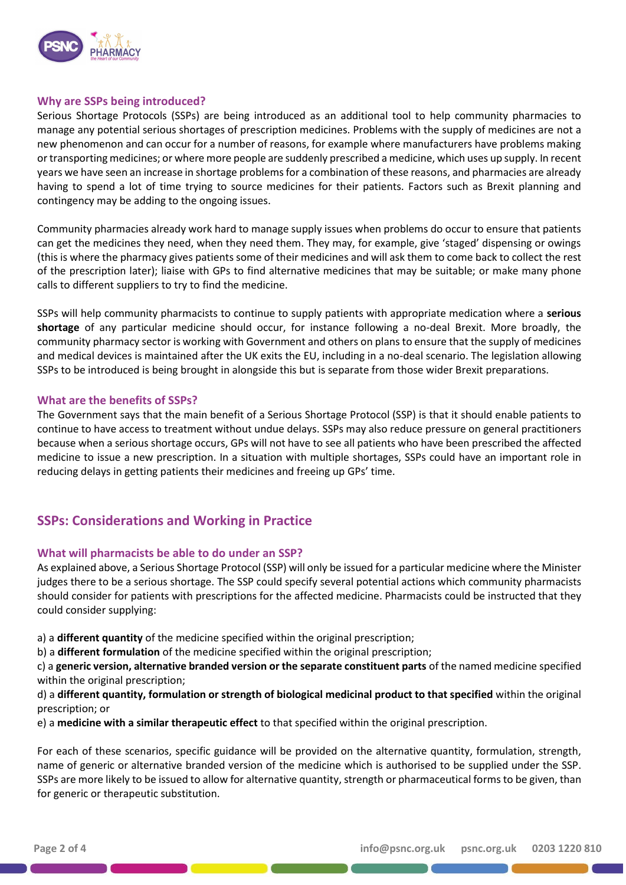

## **Why are SSPs being introduced?**

Serious Shortage Protocols (SSPs) are being introduced as an additional tool to help community pharmacies to manage any potential serious shortages of prescription medicines. Problems with the supply of medicines are not a new phenomenon and can occur for a number of reasons, for example where manufacturers have problems making or transporting medicines; or where more people are suddenly prescribed a medicine, which uses up supply. In recent years we have seen an increase in shortage problems for a combination of these reasons, and pharmacies are already having to spend a lot of time trying to source medicines for their patients. Factors such as Brexit planning and contingency may be adding to the ongoing issues.

Community pharmacies already work hard to manage supply issues when problems do occur to ensure that patients can get the medicines they need, when they need them. They may, for example, give 'staged' dispensing or owings (this is where the pharmacy gives patients some of their medicines and will ask them to come back to collect the rest of the prescription later); liaise with GPs to find alternative medicines that may be suitable; or make many phone calls to different suppliers to try to find the medicine.

SSPs will help community pharmacists to continue to supply patients with appropriate medication where a **serious shortage** of any particular medicine should occur, for instance following a no-deal Brexit. More broadly, the community pharmacy sector is working with Government and others on plans to ensure that the supply of medicines and medical devices is maintained after the UK exits the EU, including in a no-deal scenario. The legislation allowing SSPs to be introduced is being brought in alongside this but is separate from those wider Brexit preparations.

## **What are the benefits of SSPs?**

The Government says that the main benefit of a Serious Shortage Protocol (SSP) is that it should enable patients to continue to have access to treatment without undue delays. SSPs may also reduce pressure on general practitioners because when a serious shortage occurs, GPs will not have to see all patients who have been prescribed the affected medicine to issue a new prescription. In a situation with multiple shortages, SSPs could have an important role in reducing delays in getting patients their medicines and freeing up GPs' time.

# **SSPs: Considerations and Working in Practice**

## **What will pharmacists be able to do under an SSP?**

As explained above, a Serious Shortage Protocol (SSP) will only be issued for a particular medicine where the Minister judges there to be a serious shortage. The SSP could specify several potential actions which community pharmacists should consider for patients with prescriptions for the affected medicine. Pharmacists could be instructed that they could consider supplying:

a) a **different quantity** of the medicine specified within the original prescription;

b) a **different formulation** of the medicine specified within the original prescription;

c) a **generic version, alternative branded version or the separate constituent parts** of the named medicine specified within the original prescription;

d) a **different quantity, formulation or strength of biological medicinal product to that specified** within the original prescription; or

e) a **medicine with a similar therapeutic effect** to that specified within the original prescription.

For each of these scenarios, specific guidance will be provided on the alternative quantity, formulation, strength, name of generic or alternative branded version of the medicine which is authorised to be supplied under the SSP. SSPs are more likely to be issued to allow for alternative quantity, strength or pharmaceutical forms to be given, than for generic or therapeutic substitution.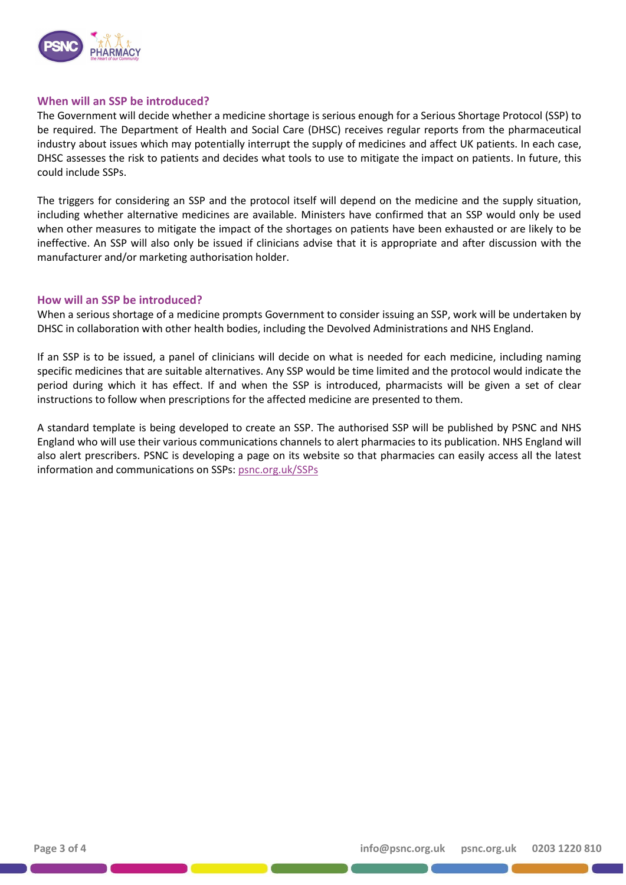

#### **When will an SSP be introduced?**

The Government will decide whether a medicine shortage is serious enough for a Serious Shortage Protocol (SSP) to be required. The Department of Health and Social Care (DHSC) receives regular reports from the pharmaceutical industry about issues which may potentially interrupt the supply of medicines and affect UK patients. In each case, DHSC assesses the risk to patients and decides what tools to use to mitigate the impact on patients. In future, this could include SSPs.

The triggers for considering an SSP and the protocol itself will depend on the medicine and the supply situation, including whether alternative medicines are available. Ministers have confirmed that an SSP would only be used when other measures to mitigate the impact of the shortages on patients have been exhausted or are likely to be ineffective. An SSP will also only be issued if clinicians advise that it is appropriate and after discussion with the manufacturer and/or marketing authorisation holder.

#### **How will an SSP be introduced?**

When a serious shortage of a medicine prompts Government to consider issuing an SSP, work will be undertaken by DHSC in collaboration with other health bodies, including the Devolved Administrations and NHS England.

If an SSP is to be issued, a panel of clinicians will decide on what is needed for each medicine, including naming specific medicines that are suitable alternatives. Any SSP would be time limited and the protocol would indicate the period during which it has effect. If and when the SSP is introduced, pharmacists will be given a set of clear instructions to follow when prescriptions for the affected medicine are presented to them.

A standard template is being developed to create an SSP. The authorised SSP will be published by PSNC and NHS England who will use their various communications channels to alert pharmacies to its publication. NHS England will also alert prescribers. PSNC is developing a page on its website so that pharmacies can easily access all the latest information and communications on SSPs[: psnc.org.uk/SSPs](https://psnc.org.uk/SSPs)